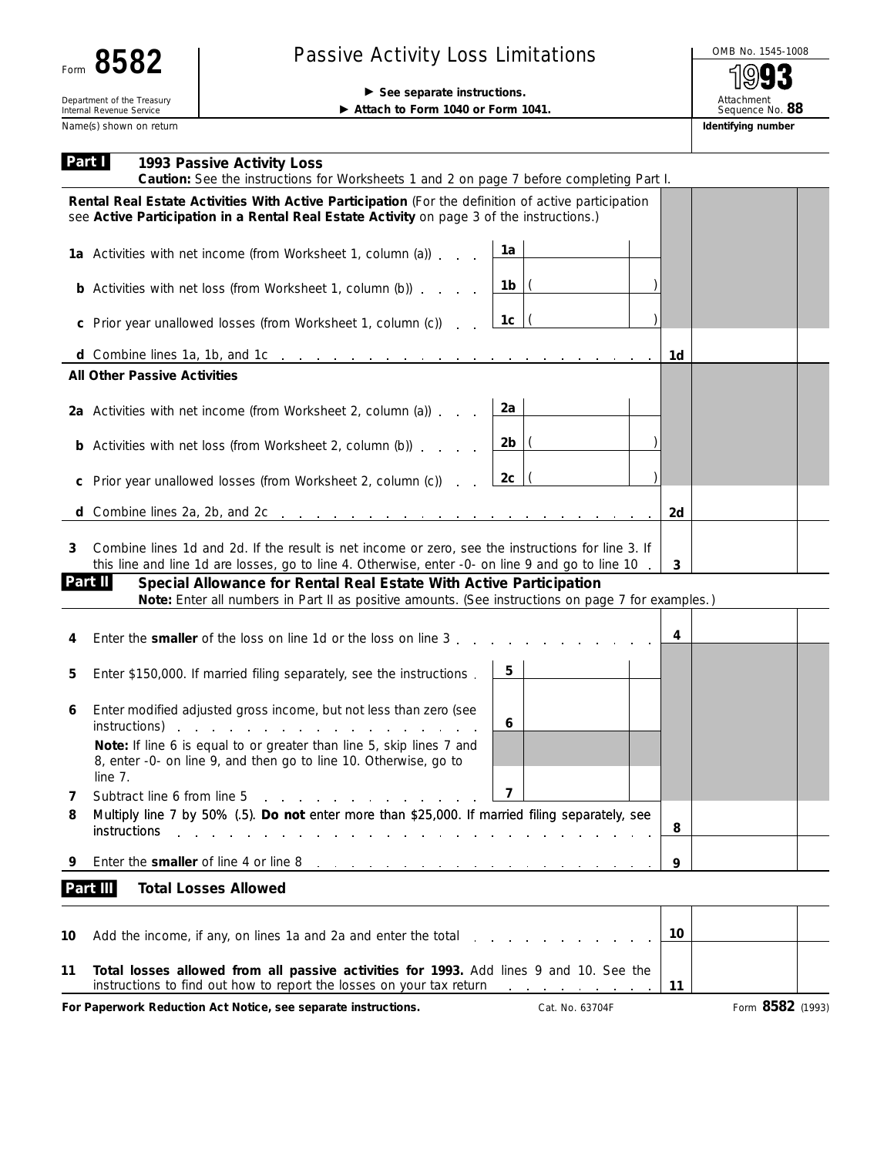| τΩ<br>Ω<br>Ю<br>Form |  |
|----------------------|--|
|----------------------|--|

## Passive Activity Loss Limitations MOMB No. 1545-1008

chment  $S^{\text{max}}$ No. **88** 

| Name(s) shown on return<br>Part I<br>1993 Passive Activity Loss                                                                                                                                             |                | Identifying number |
|-------------------------------------------------------------------------------------------------------------------------------------------------------------------------------------------------------------|----------------|--------------------|
|                                                                                                                                                                                                             |                |                    |
| <b>Caution:</b> See the instructions for Worksheets 1 and 2 on page 7 before completing Part I.                                                                                                             |                |                    |
| Rental Real Estate Activities With Active Participation (For the definition of active participation<br>see Active Participation in a Rental Real Estate Activity on page 3 of the instructions.)            |                |                    |
| 1a Activities with net income (from Worksheet 1, column (a)) $\overline{\phantom{a}}$ $\overline{\phantom{a}}$                                                                                              |                |                    |
| <b>b</b> Activities with net loss (from Worksheet 1, column (b)) $\ldots$ $\frac{1 \text{ b}}{1 \text{ b}}$                                                                                                 |                |                    |
| 1c<br>c Prior year unallowed losses (from Worksheet 1, column (c)).                                                                                                                                         |                |                    |
| d Combine lines 1a, 1b, and 1c $\ldots$ $\ldots$ $\ldots$ $\ldots$ $\ldots$ $\ldots$ $\ldots$ $\ldots$                                                                                                      | - 1d           |                    |
| <b>All Other Passive Activities</b>                                                                                                                                                                         |                |                    |
| 2a<br>2a Activities with net income (from Worksheet 2, column (a))                                                                                                                                          |                |                    |
| $2b$  (<br><b>b</b> Activities with net loss (from Worksheet 2, column (b))                                                                                                                                 |                |                    |
| 2c<br>c Prior year unallowed losses (from Worksheet 2, column (c)).                                                                                                                                         |                |                    |
| <b>d</b> Combine lines 2a, 2b, and 2c $\ldots$ $\ldots$ $\ldots$ $\ldots$ $\ldots$ $\ldots$ $\ldots$ $\ldots$ $\ldots$                                                                                      | 2d             |                    |
| Combine lines 1d and 2d. If the result is net income or zero, see the instructions for line 3. If<br>3<br>this line and line 1d are losses, go to line 4. Otherwise, enter -0- on line 9 and go to line 10. | $\overline{3}$ |                    |
| Part II<br>Special Allowance for Rental Real Estate With Active Participation<br>Note: Enter all numbers in Part II as positive amounts. (See instructions on page 7 for examples.)                         |                |                    |
| Enter the smaller of the loss on line 1d or the loss on line 3.<br>4                                                                                                                                        | 4              |                    |

| 5 | Enter \$150,000. If married filing separately, see the instructions.                                                                                                                                                                                                                                                                                                                                                                                              | 5 |  |  |  |  |  |
|---|-------------------------------------------------------------------------------------------------------------------------------------------------------------------------------------------------------------------------------------------------------------------------------------------------------------------------------------------------------------------------------------------------------------------------------------------------------------------|---|--|--|--|--|--|
| 6 | Enter modified adjusted gross income, but not less than zero (see<br>instructions) expected and the contract of the contract of the contract of the contract of the contract of the contract of the contract of the contract of the contract of the contract of the contract of the contract of the<br><b>Note:</b> If line 6 is equal to or greater than line 5, skip lines 7 and<br>8, enter -0- on line 9, and then go to line 10. Otherwise, go to<br>line 7. | 6 |  |  |  |  |  |
|   | Subtract line 6 from line 5                                                                                                                                                                                                                                                                                                                                                                                                                                       |   |  |  |  |  |  |
| 8 | Multiply line 7 by 50% (.5). Do not enter more than \$25,000. If married filing separately, see<br><i>instructions</i>                                                                                                                                                                                                                                                                                                                                            |   |  |  |  |  |  |
|   | Enter the smaller of line 4 or line 8<br>المنافر والمنافر والمنافر والمنافر والمنافر والمنافر والمنافر                                                                                                                                                                                                                                                                                                                                                            |   |  |  |  |  |  |
|   |                                                                                                                                                                                                                                                                                                                                                                                                                                                                   |   |  |  |  |  |  |

|    | 10 Add the income, if any, on lines 1a and 2a and enter the total $\ldots$ , $\ldots$ , $\ldots$                                                                                              | 10 |                  |  |
|----|-----------------------------------------------------------------------------------------------------------------------------------------------------------------------------------------------|----|------------------|--|
| 11 | Total losses allowed from all passive activities for 1993. Add lines 9 and 10. See the<br>instructions to find out how to report the losses on your tax return $\cdots$ , $\cdots$ , $\cdots$ |    |                  |  |
|    | For Paperwork Reduction Act Notice, see separate instructions.<br>Cat. No. 63704F                                                                                                             |    | Form 8582 (1993) |  |

Τ

⊤

⊤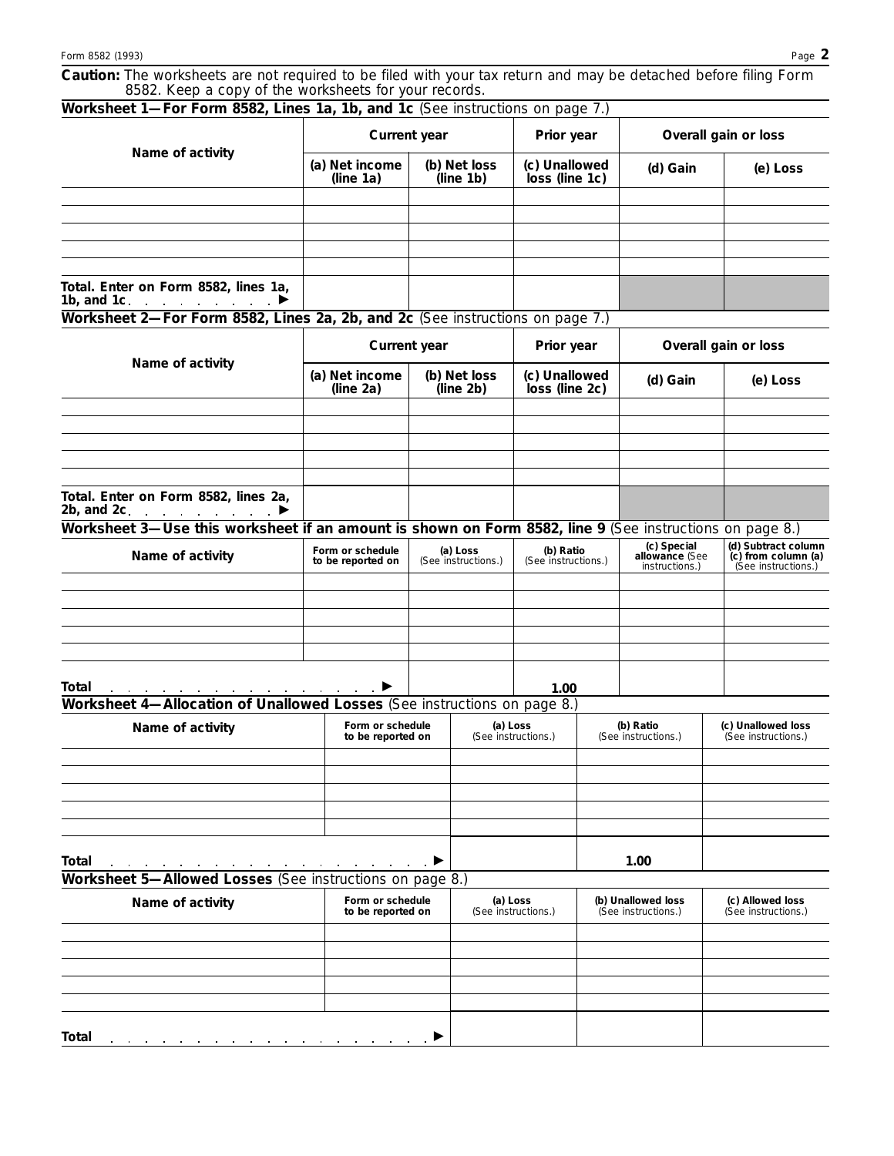|                                                       |  | Caution: The worksheets are not required to be filed with your tax return and may be detached before filing Form |  |
|-------------------------------------------------------|--|------------------------------------------------------------------------------------------------------------------|--|
| 8582. Keep a copy of the worksheets for your records. |  |                                                                                                                  |  |

| Worksheet 1-For Form 8582, Lines 1a, 1b, and 1c (See instructions on page 7.)                           |                                       |                                 |                                               |                      |                                                 |                                                                   |
|---------------------------------------------------------------------------------------------------------|---------------------------------------|---------------------------------|-----------------------------------------------|----------------------|-------------------------------------------------|-------------------------------------------------------------------|
| Name of activity                                                                                        | Current year                          | Prior year                      |                                               | Overall gain or loss |                                                 |                                                                   |
|                                                                                                         | (a) Net income<br>(line 1a)           | (b) Net loss<br>(line 1b)       | (c) Unallowed<br>loss (line 1c)               |                      | (d) Gain                                        | (e) Loss                                                          |
|                                                                                                         |                                       |                                 |                                               |                      |                                                 |                                                                   |
|                                                                                                         |                                       |                                 |                                               |                      |                                                 |                                                                   |
|                                                                                                         |                                       |                                 |                                               |                      |                                                 |                                                                   |
|                                                                                                         |                                       |                                 |                                               |                      |                                                 |                                                                   |
| Total. Enter on Form 8582, lines 1a,<br>1b, and 1c. $\ldots$ $\ldots$ $\ldots$                          |                                       |                                 |                                               |                      |                                                 |                                                                   |
| Worksheet 2-For Form 8582, Lines 2a, 2b, and 2c (See instructions on page 7.)                           |                                       |                                 |                                               |                      |                                                 |                                                                   |
|                                                                                                         |                                       | <b>Current year</b>             | Prior year<br>(c) Unallowed<br>loss (line 2c) |                      |                                                 | Overall gain or loss                                              |
| Name of activity                                                                                        | (a) Net income<br>(line 2a)           | (b) Net loss<br>(line 2b)       |                                               |                      | (d) Gain                                        | (e) Loss                                                          |
|                                                                                                         |                                       |                                 |                                               |                      |                                                 |                                                                   |
|                                                                                                         |                                       |                                 |                                               |                      |                                                 |                                                                   |
| Total. Enter on Form 8582, lines 2a,<br>2b, and 2c. $\blacksquare$                                      |                                       |                                 |                                               |                      |                                                 |                                                                   |
| Worksheet 3-Use this worksheet if an amount is shown on Form 8582, line 9 (See instructions on page 8.) |                                       |                                 |                                               |                      |                                                 |                                                                   |
| Name of activity                                                                                        | Form or schedule<br>to be reported on | (a) Loss<br>(See instructions.) | (b) Ratio<br>(See instructions.)              |                      | (c) Special<br>allowance (See<br>instructions.) | (d) Subtract column<br>(c) from column (a)<br>(See instructions.) |
|                                                                                                         |                                       |                                 |                                               |                      |                                                 |                                                                   |
|                                                                                                         |                                       |                                 |                                               |                      |                                                 |                                                                   |
| Total<br>Worksheet 4-Allocation of Unallowed Losses (See instructions on page 8.)                       |                                       |                                 | 1.00                                          |                      |                                                 |                                                                   |
|                                                                                                         |                                       |                                 |                                               |                      |                                                 |                                                                   |
| Name of activity                                                                                        | Form or schedule<br>to be reported on |                                 | (a) Loss<br>(See instructions.)               |                      | (b) Ratio<br>(See instructions.)                | (c) Unallowed loss<br>(See instructions.)                         |
|                                                                                                         |                                       |                                 |                                               |                      |                                                 |                                                                   |
|                                                                                                         |                                       |                                 |                                               |                      |                                                 |                                                                   |
|                                                                                                         |                                       |                                 |                                               |                      |                                                 |                                                                   |
| <b>Total</b><br>Worksheet 5-Allowed Losses (See instructions on page 8.)                                | ا میں بارے کی بارے میں ا              |                                 |                                               |                      | 1.00                                            |                                                                   |
| Name of activity                                                                                        | Form or schedule<br>to be reported on |                                 | (a) Loss<br>(See instructions.)               |                      | (b) Unallowed loss<br>(See instructions.)       | (c) Allowed loss<br>(See instructions.)                           |
|                                                                                                         |                                       |                                 |                                               |                      |                                                 |                                                                   |
|                                                                                                         |                                       |                                 |                                               |                      |                                                 |                                                                   |
|                                                                                                         |                                       |                                 |                                               |                      |                                                 |                                                                   |
| Total                                                                                                   |                                       |                                 |                                               |                      |                                                 |                                                                   |